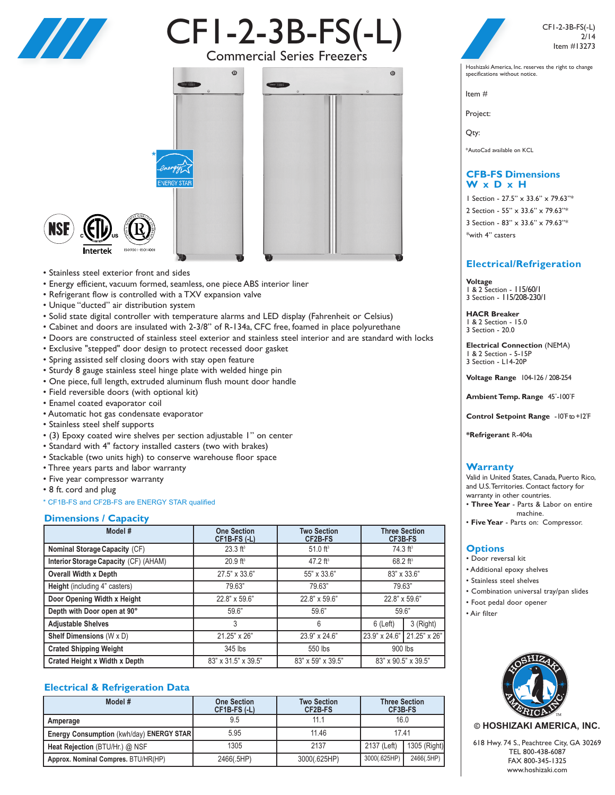

# CF1-2-3B-FS(-L)



• Stainless steel exterior front and sides

**I**ntertek

- Energy efficient, vacuum formed, seamless, one piece ABS interior liner
- Refrigerant flow is controlled with a TXV expansion valve

\*

- Unique "ducted" air distribution system
- Solid state digital controller with temperature alarms and LED display (Fahrenheit or Celsius)
- Cabinet and doors are insulated with 2-3/8" of R-134a, CFC free, foamed in place polyurethane
- Doors are constructed of stainless steel exterior and stainless steel interior and are standard with locks
- Exclusive "stepped" door design to protect recessed door gasket
- Spring assisted self closing doors with stay open feature
- Sturdy 8 gauge stainless steel hinge plate with welded hinge pin
- One piece, full length, extruded aluminum flush mount door handle
- Field reversible doors (with optional kit)
- Enamel coated evaporator coil
- Automatic hot gas condensate evaporator
- Stainless steel shelf supports
- (3) Epoxy coated wire shelves per section adjustable 1" on center
- Standard with 4" factory installed casters (two with brakes)
- Stackable (two units high) to conserve warehouse floor space
- Three years parts and labor warranty
- Five year compressor warranty
- 8 ft. cord and plug
- \* CF1B-FS and CF2B-FS are ENERGY STAR qualified

### **Dimensions / Capacity**

| Model #                               | <b>One Section</b><br>$CF1B-FS(L)$ | <b>Two Section</b><br>CF2B-FS | <b>Three Section</b><br>CF3B-FS |              |
|---------------------------------------|------------------------------------|-------------------------------|---------------------------------|--------------|
| <b>Nominal Storage Capacity (CF)</b>  | $23.3$ ft <sup>3</sup>             | $51.0$ ft <sup>3</sup>        | $74.3 \text{ ft}^3$             |              |
| Interior Storage Capacity (CF) (AHAM) | $20.9$ ft <sup>3</sup>             | 47.2 $ft^3$                   | $68.2 \text{ ft}^3$             |              |
| <b>Overall Width x Depth</b>          | 27.5" x 33.6"                      | 55" x 33.6"                   | 83" x 33.6"                     |              |
| <b>Height</b> (including 4" casters)  | 79.63"                             | 79.63"                        | 79.63"                          |              |
| Door Opening Width x Height           | 22.8" x 59.6"                      | 22.8" x 59.6"                 | 22.8" x 59.6"                   |              |
| Depth with Door open at 90°           | 59.6"                              | 59.6"                         | 59.6"                           |              |
| <b>Adjustable Shelves</b>             | 3                                  | 6                             | $6$ (Left)                      | 3 (Right)    |
| Shelf Dimensions (W x D)              | 21.25" x 26"                       | 23.9" x 24.6"                 | 23.9" x 24.6"                   | 21.25" x 26" |
| <b>Crated Shipping Weight</b>         | 345 lbs                            | 550 lbs                       | 900 lbs                         |              |
| <b>Crated Height x Width x Depth</b>  | 83" x 31.5" x 39.5"                | 83" x 59" x 39.5"             | 83" x 90.5" x 39.5"             |              |

# **Electrical & Refrigeration Data**

| Model #                                  | <b>One Section</b><br>$CF1B-FS(L)$ | <b>Two Section</b><br>CF2B-FS | <b>Three Section</b><br>CF3B-FS |              |
|------------------------------------------|------------------------------------|-------------------------------|---------------------------------|--------------|
| Amperage                                 | 9.5                                | 11.1                          | 16.0                            |              |
| Energy Consumption (kwh/day) ENERGY STAR | 5.95                               | 11.46                         | 17.41                           |              |
| Heat Rejection (BTU/Hr.) @ NSF           | 1305                               | 2137                          | 2137 (Left)                     | 1305 (Right) |
| Approx. Nominal Compres. BTU/HR(HP)      | 2466(.5HP)                         | 3000(.625HP)                  | 3000(.625HP)                    | 2466(.5HP)   |



CF1-2-3B-FS(-L) 2/14 Item #13273

Hoshizaki America, Inc. reserves the right to change specifications without notice.

Item #

Project:

Qty:

\*AutoCad available on KCL

# **CFB-FS Dimensions W x D x H**

 Section - 27.5" x 33.6" x 79.63"\* Section - 55" x 33.6" x 79.63"\* Section - 83" x 33.6" x 79.63"\* \*with 4" casters

# **Electrical/Refrigeration**

**Voltage** 1 & 2 Section - 115/60/1 3 Section - 115/208-230/1

**HACR Breaker** 1 & 2 Section - 15.0 3 Section - 20.0

**Electrical Connection** (NEMA) 1 & 2 Section - 5-15P 3 Section - L14-20P

**Voltage Range** 104-126 / 208-254

**Ambient Temp. Range** 45˚-100˚F

**Control Setpoint Range** -10˚Fto+12˚F

**\*Refrigerant** R-404a

# **Warranty**

Valid in United States, Canada, Puerto Rico, and U.S.Territories. Contact factory for warranty in other countries.

- **Three Year** Parts & Labor on entire machine.
- **Five Year** Parts on: Compressor.

### **Options**

- Door reversal kit
- Additional epoxy shelves
- Stainless steel shelves
- Combination universal tray/pan slides
- Foot pedal door opener
- Air filter



**© HOSHIZAKI AMERICA, INC.**

618 Hwy. 74 S., Peachtree City, GA 30269 TEL 800-438-6087 FAX 800-345-1325 www.hoshizaki.com